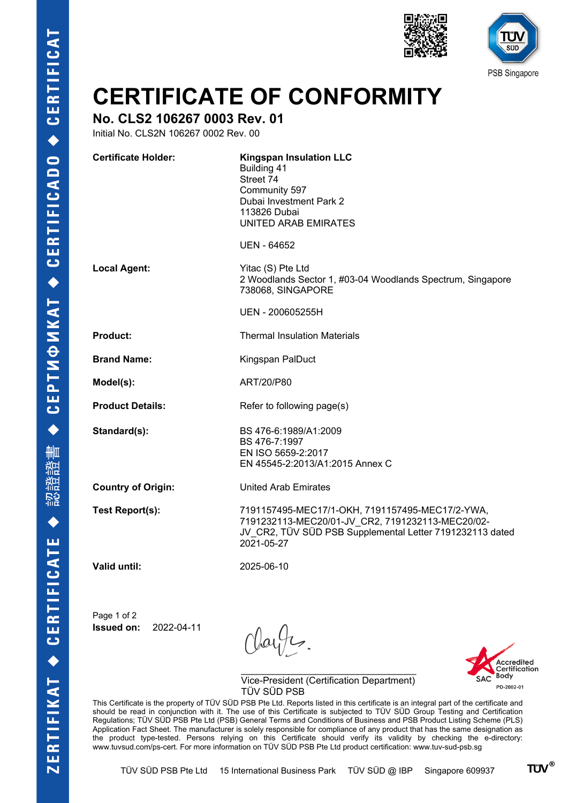



## **CERTIFICATE OF CONFORMITY**

## **No. CLS2 106267 0003 Rev. 01**

Initial No. CLS2N 106267 0002 Rev. 00

| <b>Certificate Holder:</b> | <b>Kingspan Insulation LLC</b><br>Building 41<br>Street 74<br>Community 597<br>Dubai Investment Park 2<br>113826 Dubai<br>UNITED ARAB EMIRATES<br><b>UEN - 64652</b>          |
|----------------------------|-------------------------------------------------------------------------------------------------------------------------------------------------------------------------------|
|                            |                                                                                                                                                                               |
| <b>Local Agent:</b>        | Yitac (S) Pte Ltd<br>2 Woodlands Sector 1, #03-04 Woodlands Spectrum, Singapore<br>738068, SINGAPORE                                                                          |
|                            | UEN - 200605255H                                                                                                                                                              |
| <b>Product:</b>            | <b>Thermal Insulation Materials</b>                                                                                                                                           |
| <b>Brand Name:</b>         | Kingspan PalDuct                                                                                                                                                              |
| Model(s):                  | ART/20/P80                                                                                                                                                                    |
| <b>Product Details:</b>    | Refer to following page(s)                                                                                                                                                    |
| Standard(s):               | BS 476-6:1989/A1:2009<br>BS 476-7:1997<br>EN ISO 5659-2:2017<br>EN 45545-2:2013/A1:2015 Annex C                                                                               |
| <b>Country of Origin:</b>  | <b>United Arab Emirates</b>                                                                                                                                                   |
| Test Report(s):            | 7191157495-MEC17/1-OKH, 7191157495-MEC17/2-YWA,<br>7191232113-MEC20/01-JV CR2, 7191232113-MEC20/02-<br>JV CR2, TÜV SÜD PSB Supplemental Letter 7191232113 dated<br>2021-05-27 |
| <b>Valid until:</b>        | 2025-06-10                                                                                                                                                                    |

Page 1 of 2 **Issued on:** 2022-04-11

layts.



\_\_\_\_\_\_\_\_\_\_\_\_\_\_\_\_\_\_\_\_\_\_\_\_\_\_\_\_\_\_\_\_\_ Vice-President (Certification Department) TÜV SÜD PSB

This Certificate is the property of TÜV SÜD PSB Pte Ltd. Reports listed in this certificate is an integral part of the certificate and should be read in conjunction with it. The use of this Certificate is subjected to TÜV SÜD Group Testing and Certification Regulations; TÜV SÜD PSB Pte Ltd (PSB) General Terms and Conditions of Business and PSB Product Listing Scheme (PLS) Application Fact Sheet. The manufacturer is solely responsible for compliance of any product that has the same designation as the product type-tested. Persons relying on this Certificate should verify its validity by checking the e-directory: www.tuvsud.com/ps-cert. For more information on TÜV SÜD PSB Pte Ltd product certification: www.tuv-sud-psb.sg